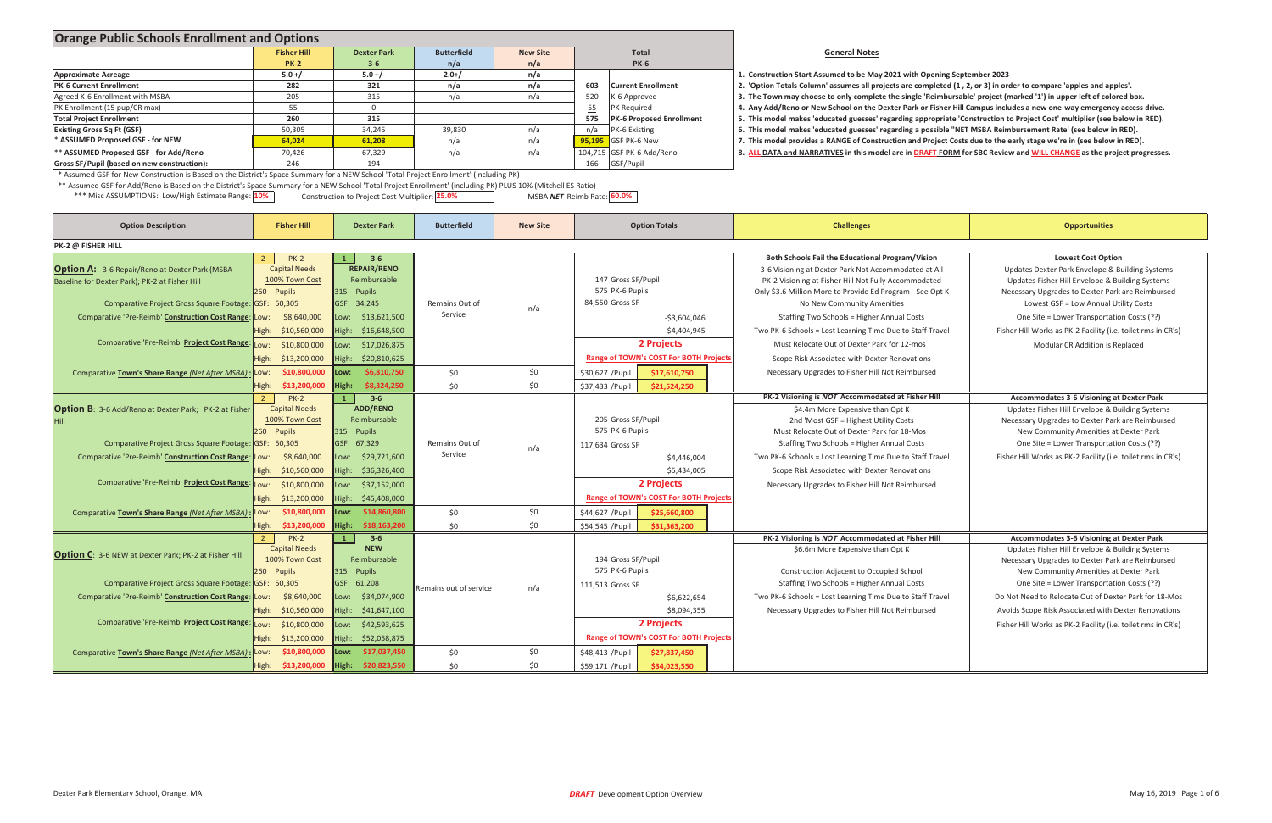| <b>Orange Public Schools Enrollment and Options</b>                                                                                                          |                                                  |                                                |                        |                 |                                               |                                                                                                                                                                                                                                       |                                                                                                     |  |
|--------------------------------------------------------------------------------------------------------------------------------------------------------------|--------------------------------------------------|------------------------------------------------|------------------------|-----------------|-----------------------------------------------|---------------------------------------------------------------------------------------------------------------------------------------------------------------------------------------------------------------------------------------|-----------------------------------------------------------------------------------------------------|--|
|                                                                                                                                                              | <b>Fisher Hill</b>                               | <b>Dexter Park</b>                             | <b>Butterfield</b>     | <b>New Site</b> | Total                                         | <b>General Notes</b>                                                                                                                                                                                                                  |                                                                                                     |  |
|                                                                                                                                                              | <b>PK-2</b>                                      | $3 - 6$                                        | n/a                    | n/a             | <b>PK-6</b>                                   |                                                                                                                                                                                                                                       |                                                                                                     |  |
| <b>Approximate Acreage</b>                                                                                                                                   | $5.0 +/-$                                        | $5.0 + / -$                                    | $2.0+/-$               | n/a             |                                               | 1. Construction Start Assumed to be May 2021 with Opening September 2023                                                                                                                                                              |                                                                                                     |  |
| <b>PK-6 Current Enrollment</b>                                                                                                                               | 282                                              | 321                                            | n/a                    | n/a             | 603<br><b>Current Enrollment</b>              | 2. 'Option Totals Column' assumes all projects are completed (1, 2, or 3) in order to compare 'apples and apples'.                                                                                                                    |                                                                                                     |  |
| Agreed K-6 Enrollment with MSBA                                                                                                                              | 205                                              | 315                                            | n/a                    | n/a             | 520<br>K-6 Approved                           | 3. The Town may choose to only complete the single 'Reimbursable' project (marked '1') in upper left of colored box.                                                                                                                  |                                                                                                     |  |
| PK Enrollment (15 pup/CR max)                                                                                                                                | 55                                               | $\overline{0}$                                 |                        |                 | 55<br>PK Required                             | 4. Any Add/Reno or New School on the Dexter Park or Fisher Hill Campus includes a new one-way emergency access drive.                                                                                                                 |                                                                                                     |  |
| <b>Total Project Enrollment</b>                                                                                                                              | 260                                              | 315                                            |                        |                 | 575<br>PK-6 Proposed Enrollment               | 5. This model makes 'educated guesses' regarding appropriate 'Construction to Project Cost' multiplier (see below in RED).                                                                                                            |                                                                                                     |  |
| <b>Existing Gross Sq Ft (GSF)</b><br>* ASSUMED Proposed GSF - for NEW                                                                                        | 50,305<br>64,024                                 | 34,245<br>61,208                               | 39,830                 | n/a             | n/a<br>PK-6 Existing<br>GSF PK-6 New          | 6. This model makes 'educated guesses' regarding a possible "NET MSBA Reimbursement Rate' (see below in RED).<br>7. This model provides a RANGE of Construction and Project Costs due to the early stage we're in (see below in RED). |                                                                                                     |  |
| ** ASSUMED Proposed GSF - for Add/Reno                                                                                                                       | 70,426                                           | 67,329                                         | n/a<br>n/a             | n/a<br>n/a      | 95,195<br>104,715 GSF PK-6 Add/Reno           | 8. ALL DATA and NARRATIVES in this model are in DRAFT FORM for SBC Review and WILL CHANGE as the project progresses.                                                                                                                  |                                                                                                     |  |
| Gross SF/Pupil (based on new construction):                                                                                                                  | 246                                              | 194                                            |                        |                 | 166<br>GSF/Pupil                              |                                                                                                                                                                                                                                       |                                                                                                     |  |
| * Assumed GSF for New Construction is Based on the District's Space Summary for a NEW School 'Total Project Enrollment' (including PK)                       |                                                  |                                                |                        |                 |                                               |                                                                                                                                                                                                                                       |                                                                                                     |  |
| ** Assumed GSF for Add/Reno is Based on the District's Space Summary for a NEW School 'Total Project Enrollment' (including PK) PLUS 10% (Mitchell ES Ratio) |                                                  |                                                |                        |                 |                                               |                                                                                                                                                                                                                                       |                                                                                                     |  |
| *** Misc ASSUMPTIONS: Low/High Estimate Range: 10%                                                                                                           |                                                  | Construction to Project Cost Multiplier: 25.0% |                        |                 | MSBA NET Reimb Rate: 60.0%                    |                                                                                                                                                                                                                                       |                                                                                                     |  |
|                                                                                                                                                              |                                                  |                                                |                        |                 |                                               |                                                                                                                                                                                                                                       |                                                                                                     |  |
| <b>Option Description</b>                                                                                                                                    | <b>Fisher Hill</b>                               | <b>Dexter Park</b>                             | <b>Butterfield</b>     | <b>New Site</b> | <b>Option Totals</b>                          | <b>Challenges</b>                                                                                                                                                                                                                     | <b>Opportunities</b>                                                                                |  |
| PK-2 @ FISHER HILL                                                                                                                                           |                                                  |                                                |                        |                 |                                               |                                                                                                                                                                                                                                       |                                                                                                     |  |
|                                                                                                                                                              | $PK-2$<br>$2^{\circ}$                            | $3 - 6$<br>-1                                  |                        |                 |                                               | Both Schools Fail the Educational Program/Vision                                                                                                                                                                                      | <b>Lowest Cost Option</b>                                                                           |  |
| <b>Option A:</b> 3-6 Repair/Reno at Dexter Park (MSBA                                                                                                        | <b>Capital Needs</b>                             | <b>REPAIR/RENO</b>                             |                        |                 |                                               | 3-6 Visioning at Dexter Park Not Accommodated at All                                                                                                                                                                                  | Updates Dexter Park Envelope & Building Systems                                                     |  |
| Baseline for Dexter Park); PK-2 at Fisher Hill                                                                                                               | 100% Town Cost                                   | Reimbursable                                   |                        |                 | 147 Gross SF/Pupil                            | PK-2 Visioning at Fisher Hill Not Fully Accommodated                                                                                                                                                                                  | Updates Fisher Hill Envelope & Building Systems                                                     |  |
|                                                                                                                                                              | 260 Pupils                                       | 315 Pupils                                     |                        |                 | 575 PK-6 Pupils                               | Only \$3.6 Million More to Provide Ed Program - See Opt K                                                                                                                                                                             | Necessary Upgrades to Dexter Park are Reimbursed                                                    |  |
| Comparative Project Gross Square Footage: GSF: 50,305                                                                                                        |                                                  | GSF: 34,245                                    | Remains Out of         | n/a             | 84,550 Gross SF                               | No New Community Amenities                                                                                                                                                                                                            | Lowest GSF = Low Annual Utility Costs                                                               |  |
| Comparative 'Pre-Reimb' Construction Cost Range: Low:                                                                                                        | \$8,640,000                                      | ow: \$13,621,500                               | Service                |                 | $-$3,604,046$                                 | Staffing Two Schools = Higher Annual Costs                                                                                                                                                                                            | One Site = Lower Transportation Costs (??)                                                          |  |
|                                                                                                                                                              | High: \$10,560,000                               | High: \$16,648,500                             |                        |                 | $-54,404,945$                                 | Two PK-6 Schools = Lost Learning Time Due to Staff Travel                                                                                                                                                                             | Fisher Hill Works as PK-2 Facility (i.e. toilet rms in CR's)                                        |  |
| Comparative 'Pre-Reimb' Project Cost Range:                                                                                                                  | \$10,800,000<br>Low:                             | ow: \$17,026,875                               |                        |                 | 2 Projects                                    | Must Relocate Out of Dexter Park for 12-mos                                                                                                                                                                                           | Modular CR Addition is Replaced                                                                     |  |
|                                                                                                                                                              | High:<br>\$13,200,000                            | ligh:<br>\$20,810,625                          |                        |                 | Range of TOWN's COST For BOTH Projects        | Scope Risk Associated with Dexter Renovations                                                                                                                                                                                         |                                                                                                     |  |
|                                                                                                                                                              | \$10,800,000                                     | \$6,810,750<br>:wo.                            |                        | \$0             |                                               | Necessary Upgrades to Fisher Hill Not Reimbursed                                                                                                                                                                                      |                                                                                                     |  |
| Comparative Town's Share Range (Net After MSBA) : Low:                                                                                                       |                                                  |                                                | \$0                    |                 | \$30,627 / Pupil<br>\$17,610,750              |                                                                                                                                                                                                                                       |                                                                                                     |  |
|                                                                                                                                                              | High: \$13,200,000                               | High:<br>\$8,324,250                           | \$0                    | \$0             | \$37,433 / Pupil<br>\$21,524,250              | PK-2 Visioning is NOT Accommodated at Fisher Hill                                                                                                                                                                                     |                                                                                                     |  |
|                                                                                                                                                              | $\overline{2}$<br>$PK-2$<br><b>Capital Needs</b> | $3 - 6$<br>$\mathbf{1}$<br><b>ADD/RENO</b>     |                        |                 |                                               |                                                                                                                                                                                                                                       | Accommodates 3-6 Visioning at Dexter Park                                                           |  |
| <b>Option B</b> : 3-6 Add/Reno at Dexter Park; PK-2 at Fisher                                                                                                | 100% Town Cost                                   | Reimbursable                                   |                        |                 | 205 Gross SF/Pupil                            | \$4.4m More Expensive than Opt K<br>2nd 'Most GSF = Highest Utility Costs                                                                                                                                                             | Updates Fisher Hill Envelope & Building Systems<br>Necessary Upgrades to Dexter Park are Reimbursed |  |
|                                                                                                                                                              | 260 Pupils                                       | 315 Pupils                                     |                        |                 | 575 PK-6 Pupils                               | Must Relocate Out of Dexter Park for 18-Mos                                                                                                                                                                                           | New Community Amenities at Dexter Park                                                              |  |
| Comparative Project Gross Square Footage: GSF: 50,305                                                                                                        |                                                  | GSF: 67,329                                    | Remains Out of         |                 |                                               | Staffing Two Schools = Higher Annual Costs                                                                                                                                                                                            | One Site = Lower Transportation Costs (??)                                                          |  |
|                                                                                                                                                              |                                                  |                                                | Service                | n/a             | 117,634 Gross SF                              |                                                                                                                                                                                                                                       |                                                                                                     |  |
| Comparative 'Pre-Reimb' Construction Cost Range: Low:                                                                                                        | \$8,640,000                                      | Low: \$29,721,600                              |                        |                 | \$4,446,004                                   | Two PK-6 Schools = Lost Learning Time Due to Staff Travel                                                                                                                                                                             | Fisher Hill Works as PK-2 Facility (i.e. toilet rms in CR's)                                        |  |
|                                                                                                                                                              | \$10,560,000<br>High:                            | ligh: \$36,326,400                             |                        |                 | \$5,434,005                                   | Scope Risk Associated with Dexter Renovations                                                                                                                                                                                         |                                                                                                     |  |
| Comparative 'Pre-Reimb' Project Cost Range:                                                                                                                  | \$10,800,000<br>Low:                             | Low: \$37,152,000                              |                        |                 | 2 Projects                                    | Necessary Upgrades to Fisher Hill Not Reimbursed                                                                                                                                                                                      |                                                                                                     |  |
|                                                                                                                                                              | High: \$13,200,000                               | High: \$45,408,000                             |                        |                 | <b>Range of TOWN's COST For BOTH Projects</b> |                                                                                                                                                                                                                                       |                                                                                                     |  |
| Comparative Town's Share Range (Net After MSBA)                                                                                                              | \$10,800,000<br>Low:                             | \$14,860,800<br>Low:                           | \$0                    | \$0\$           | \$25,660,800<br>\$44,627 / Pupil              |                                                                                                                                                                                                                                       |                                                                                                     |  |
|                                                                                                                                                              | High \$13,200,000                                | High: \$18,163,200                             | \$0                    | \$0             | \$54,545 / Pupil<br>\$31,363,200              |                                                                                                                                                                                                                                       |                                                                                                     |  |
|                                                                                                                                                              | $PK-2$<br>$\overline{2}$                         | $3 - 6$<br>$\mathbf{1}$                        |                        |                 |                                               | PK-2 Visioning is NOT Accommodated at Fisher Hill                                                                                                                                                                                     | <b>Accommodates 3-6 Visioning at Dexter Park</b>                                                    |  |
|                                                                                                                                                              | <b>Capital Needs</b>                             | <b>NEW</b>                                     |                        |                 |                                               | \$6.6m More Expensive than Opt K                                                                                                                                                                                                      | Updates Fisher Hill Envelope & Building Systems                                                     |  |
| <b>Option C:</b> 3-6 NEW at Dexter Park; PK-2 at Fisher Hill                                                                                                 | 100% Town Cost                                   | Reimbursable                                   |                        |                 | 194 Gross SF/Pupil                            |                                                                                                                                                                                                                                       | Necessary Upgrades to Dexter Park are Reimbursed                                                    |  |
|                                                                                                                                                              | 260 Pupils                                       | 315 Pupils                                     |                        |                 | 575 PK-6 Pupils                               | Construction Adjacent to Occupied School                                                                                                                                                                                              | New Community Amenities at Dexter Park                                                              |  |
| Comparative Project Gross Square Footage: GSF: 50,305                                                                                                        |                                                  | GSF: 61,208                                    |                        |                 | 111,513 Gross SF                              | <b>Staffing Two Schools = Higher Annual Costs</b>                                                                                                                                                                                     | One Site = Lower Transportation Costs (??)                                                          |  |
| Comparative 'Pre-Reimb' Construction Cost Range: Low:                                                                                                        | \$8,640,000                                      | ow: \$34,074,900                               | Remains out of service | n/a             | \$6,622,654                                   | Two PK-6 Schools = Lost Learning Time Due to Staff Travel                                                                                                                                                                             | Do Not Need to Relocate Out of Dexter Park for 18-Mos                                               |  |
|                                                                                                                                                              | High: \$10,560,000                               | High: \$41,647,100                             |                        |                 | \$8,094,355                                   | Necessary Upgrades to Fisher Hill Not Reimbursed                                                                                                                                                                                      | Avoids Scope Risk Associated with Dexter Renovations                                                |  |
| Comparative 'Pre-Reimb' Project Cost Range:                                                                                                                  |                                                  |                                                |                        |                 |                                               |                                                                                                                                                                                                                                       |                                                                                                     |  |
|                                                                                                                                                              | \$10,800,000<br>Low:                             | Low: \$42,593,625                              |                        |                 | 2 Projects                                    |                                                                                                                                                                                                                                       | Fisher Hill Works as PK-2 Facility (i.e. toilet rms in CR's)                                        |  |
|                                                                                                                                                              | High: \$13,200,000                               | High: \$52,058,875                             |                        |                 | <b>Range of TOWN's COST For BOTH Projects</b> |                                                                                                                                                                                                                                       |                                                                                                     |  |
| Comparative Town's Share Range (Net After MSBA)                                                                                                              | \$10,800,000<br>Low:                             | Low: \$17,037,450                              | \$0                    | \$0             | \$48,413 / Pupil<br>\$27,837,450              |                                                                                                                                                                                                                                       |                                                                                                     |  |
|                                                                                                                                                              | High \$13,200,000                                | High: \$20,823,550                             | \$0                    | \$0             | \$59,171 / Pupil<br>\$34,023,550              |                                                                                                                                                                                                                                       |                                                                                                     |  |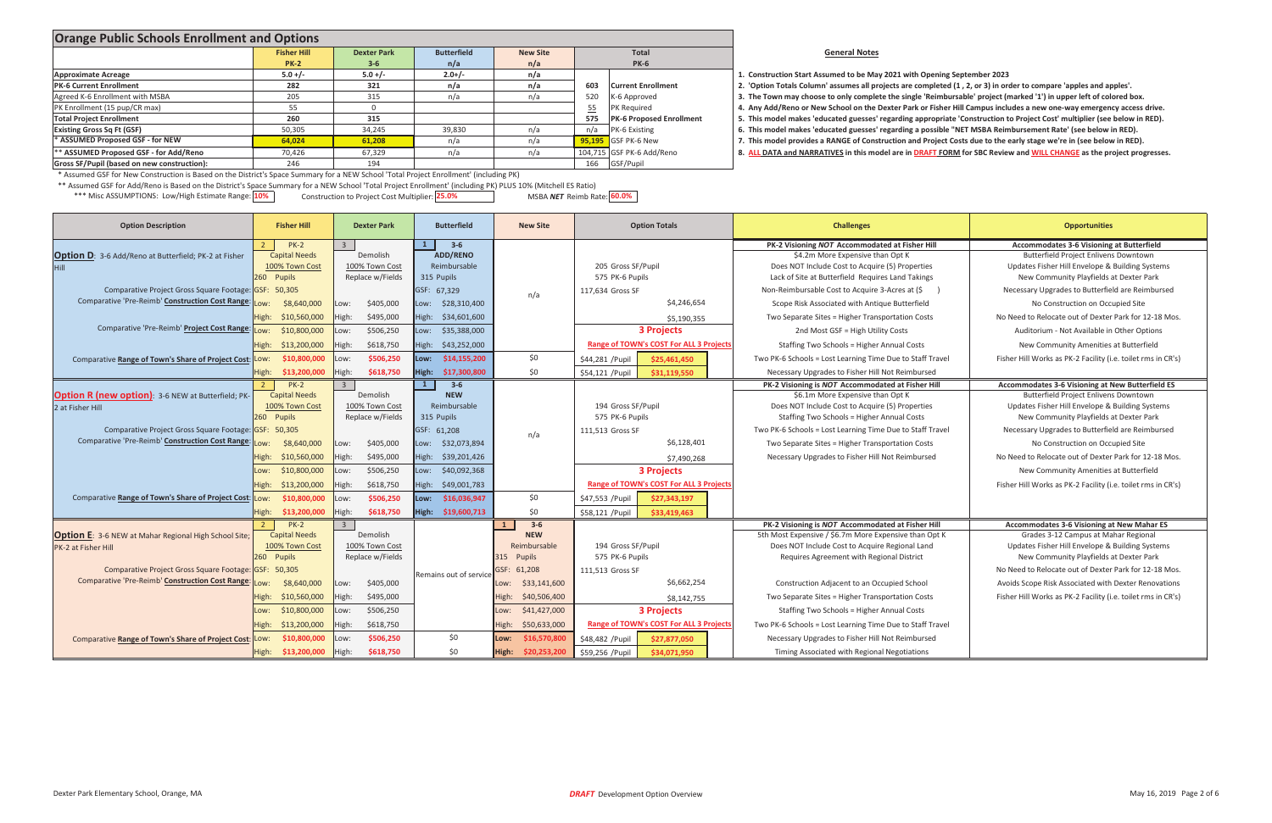### **General Notes**

- **Start Assumed to be May <sup>2021</sup> with Opening September <sup>2023</sup>**
- 

\*\*\* Misc ASSUMPTIONS: Low/High Estimate Range: <mark>10%</mark> **25.0**% **construction to Project Cost Multiplier:** 25.0% **19.00%** MSBA NET Reimb Rate: <mark>60.0%</mark> MSBA **NET** Reimb Rate: 60.0% \*\* Assumed GSF for Add/Reno is Based on the District's Space Summary for <sup>a</sup> NEW School 'Total Project Enrollment' (including PK) PLUS 10% (Mitchell ES Ratio)

| <b>Orange Public Schools Enrollment and Options</b>                                                                                    |                                                                                   |           |          |     |                                        |                                                                                                                            |
|----------------------------------------------------------------------------------------------------------------------------------------|-----------------------------------------------------------------------------------|-----------|----------|-----|----------------------------------------|----------------------------------------------------------------------------------------------------------------------------|
|                                                                                                                                        | <b>Butterfield</b><br><b>Fisher Hill</b><br><b>Dexter Park</b><br><b>New Site</b> |           |          |     | <b>Total</b>                           | <b>General Notes</b>                                                                                                       |
|                                                                                                                                        | <b>PK-2</b>                                                                       | $3 - 6$   | n/a      | n/a | <b>PK-6</b>                            |                                                                                                                            |
| <b>Approximate Acreage</b>                                                                                                             | $5.0 + / -$                                                                       | $5.0 +/-$ | $2.0+/-$ | n/a |                                        | 1. Construction Start Assumed to be May 2021 with Opening September 2023                                                   |
| <b>PK-6 Current Enrollment</b>                                                                                                         | 282                                                                               | 321       | n/a      | n/a | 603<br><b>Current Enrollment</b>       | 2. 'Option Totals Column' assumes all projects are completed (1, 2, or 3) in order to compare 'apples and apples'.         |
| Agreed K-6 Enrollment with MSBA                                                                                                        | 205                                                                               | 315       | n/a      | n/a | 520<br>K-6 Approved                    | 3. The Town may choose to only complete the single 'Reimbursable' project (marked '1') in upper left of colored box.       |
| PK Enrollment (15 pup/CR max)                                                                                                          |                                                                                   |           |          |     | <b>PK Required</b><br>55               | 4. Any Add/Reno or New School on the Dexter Park or Fisher Hill Campus includes a new one-way emergency access drive.      |
| <b>Total Project Enrollment</b>                                                                                                        | 260                                                                               | 315       |          |     | <b>PK-6 Proposed Enrollment</b><br>575 | 5. This model makes 'educated guesses' regarding appropriate 'Construction to Project Cost' multiplier (see below in RED). |
| <b>Existing Gross Sq Ft (GSF)</b>                                                                                                      | 50,305                                                                            | 34,245    | 39,830   | n/a | PK-6 Existing                          | 6. This model makes 'educated guesses' regarding a possible "NET MSBA Reimbursement Rate' (see below in RED).              |
| * ASSUMED Proposed GSF - for NEW                                                                                                       | 64,024                                                                            | 61,208    | n/a      | n/a | <b>95.195</b> GSF PK-6 New             | 7. This model provides a RANGE of Construction and Project Costs due to the early stage we're in (see below in RED).       |
| ** ASSUMED Proposed GSF - for Add/Reno                                                                                                 | 70,426                                                                            | 67,329    | n/a      | n/a | 104,715 GSF PK-6 Add/Reno              | 8. ALL DATA and NARRATIVES in this model are in DRAFT FORM for SBC Review and WILL CHANGE as the project progresses.       |
| Gross SF/Pupil (based on new construction):                                                                                            | 246                                                                               | 194       |          |     | 166 GSF/Pupil                          |                                                                                                                            |
| * Assumed GSF for New Construction is Based on the District's Space Summary for a NEW School 'Total Project Enrollment' (including PK) |                                                                                   |           |          |     |                                        |                                                                                                                            |
| www.income.com/home.com/home.com/home.com/home.com/home.com/home.com/home.com/home.com/home.com/home.com/home.com/                     |                                                                                   |           |          |     |                                        |                                                                                                                            |

| <b>Option Description</b>                                     | <b>Fisher Hill</b>       | <b>Dexter Park</b>      | <b>Butterfield</b>      | <b>New Site</b>         | <b>Option Totals</b>                   | <b>Challenges</b>                                         | <b>Opportunities</b>                                         |
|---------------------------------------------------------------|--------------------------|-------------------------|-------------------------|-------------------------|----------------------------------------|-----------------------------------------------------------|--------------------------------------------------------------|
|                                                               | $PK-2$                   |                         | $3 - 6$                 |                         |                                        | PK-2 Visioning NOT Accommodated at Fisher Hill            | <b>Accommodates 3-6 Visioning at Butterfield</b>             |
| <b>Option D</b> : 3-6 Add/Reno at Butterfield; PK-2 at Fisher | <b>Capital Needs</b>     | Demolish                | <b>ADD/RENO</b>         |                         |                                        | \$4.2m More Expensive than Opt K                          | Butterfield Project Enlivens Downtown                        |
|                                                               | 100% Town Cost           | 100% Town Cost          | Reimbursable            |                         | 205 Gross SF/Pupil                     | Does NOT Include Cost to Acquire (5) Properties           | Updates Fisher Hill Envelope & Building Systems              |
|                                                               | 260 Pupils               | Replace w/Fields        | 315 Pupils              |                         | 575 PK-6 Pupils                        | Lack of Site at Butterfield Requires Land Takings         | New Community Playfields at Dexter Park                      |
| Comparative Project Gross Square Footage: GSF: 50,305         |                          |                         | GSF: 67,329             | n/a                     | 117,634 Gross SF                       | Non-Reimbursable Cost to Acquire 3-Acres at (\$           | Necessary Upgrades to Butterfield are Reimbursed             |
| Comparative 'Pre-Reimb' Construction Cost Range:              | \$8,640,000<br>:wo       | \$405,000<br>Low:       | Low: \$28,310,400       |                         | \$4,246,654                            | Scope Risk Associated with Antique Butterfield            | No Construction on Occupied Site                             |
|                                                               | High:<br>\$10,560,000    | \$495,000<br>High:      | High: \$34,601,600      |                         | \$5,190,355                            | Two Separate Sites = Higher Transportation Costs          | No Need to Relocate out of Dexter Park for 12-18 Mos.        |
| Comparative 'Pre-Reimb' Project Cost Range:                   | \$10,800,000<br>:0W.     | \$506,250<br>Low:       | \$35,388,000<br>Low:    |                         | <b>3 Projects</b>                      | 2nd Most GSF = High Utility Costs                         | Auditorium - Not Available in Other Options                  |
|                                                               | High:<br>\$13,200,000    | High:<br>\$618,750      | High:<br>\$43,252,000   |                         | Range of TOWN's COST For ALL 3 Project | Staffing Two Schools = Higher Annual Costs                | New Community Amenities at Butterfield                       |
| Comparative Range of Town's Share of Project Cost: Low:       | \$10,800,000             | \$506,250<br>LOW:       | Low: \$14,155,200       | \$0                     | \$44,281 / Pupil<br>\$25,461,450       | Two PK-6 Schools = Lost Learning Time Due to Staff Travel | Fisher Hill Works as PK-2 Facility (i.e. toilet rms in CR's) |
|                                                               | \$13,200,000<br>High:    | High:<br>\$618,750      | High: \$17,300,800      | \$0                     | \$54,121 / Pupil<br>\$31,119,550       | Necessary Upgrades to Fisher Hill Not Reimbursed          |                                                              |
|                                                               | $PK-2$<br>$\overline{2}$ | $\overline{\mathbf{3}}$ | $\mathbf{1}$<br>$3 - 6$ |                         |                                        | PK-2 Visioning is NOT Accommodated at Fisher Hill         | Accommodates 3-6 Visioning at New Butterfield ES             |
| <b>Option R (new option): 3-6 NEW at Butterfield; PK-</b>     | <b>Capital Needs</b>     | Demolish                | <b>NEW</b>              |                         |                                        | \$6.1m More Expensive than Opt K                          | <b>Butterfield Project Enlivens Downtown</b>                 |
| 2 at Fisher Hill                                              | 100% Town Cost           | 100% Town Cost          | Reimbursable            |                         | 194 Gross SF/Pupil                     | Does NOT Include Cost to Acquire (5) Properties           | Updates Fisher Hill Envelope & Building Systems              |
|                                                               | 260 Pupils               | Replace w/Fields        | 315 Pupils              |                         | 575 PK-6 Pupils                        | Staffing Two Schools = Higher Annual Costs                | New Community Playfields at Dexter Park                      |
| Comparative Project Gross Square Footage: GSF: 50,305         |                          |                         | GSF: 61,208             | n/a                     | 111.513 Gross SF                       | Two PK-6 Schools = Lost Learning Time Due to Staff Travel | Necessary Upgrades to Butterfield are Reimbursed             |
| Comparative 'Pre-Reimb' Construction Cost Range:              | \$8,640,000<br>:wo       | \$405,000<br>Low:       | Low: \$32,073,894       |                         | \$6,128,401                            | Two Separate Sites = Higher Transportation Costs          | No Construction on Occupied Site                             |
|                                                               | \$10,560,000<br>High:    | High:<br>\$495,000      | High: \$39,201,426      |                         | \$7,490,268                            | Necessary Upgrades to Fisher Hill Not Reimbursed          | No Need to Relocate out of Dexter Park for 12-18 Mos.        |
|                                                               | \$10,800,000<br>Low:     | \$506,250<br>LOW:       | Low: \$40,092,368       |                         | <b>3 Projects</b>                      |                                                           | New Community Amenities at Butterfield                       |
|                                                               | High:<br>\$13,200,000    | \$618,750<br>High:      | High:<br>\$49,001,783   |                         | Range of TOWN's COST For ALL 3 Project |                                                           | Fisher Hill Works as PK-2 Facility (i.e. toilet rms in CR's) |
| Comparative Range of Town's Share of Project Cost:            | \$10,800,000<br>Low:     | \$506,250<br>Low:       | \$16,036,947<br>Low:    | \$0                     | \$47,553 /Pupil<br>\$27,343,197        |                                                           |                                                              |
|                                                               | High:<br>\$13,200,000    | High:<br>\$618,750      | High: \$19,600,713      | \$0                     | \$58,121 / Pupil<br>\$33,419,463       |                                                           |                                                              |
|                                                               | $PK-2$<br>$\overline{2}$ | $\overline{3}$          |                         | $3 - 6$<br>$\mathbf{1}$ |                                        | PK-2 Visioning is NOT Accommodated at Fisher Hill         | <b>Accommodates 3-6 Visioning at New Mahar ES</b>            |
| <b>Option E:</b> 3-6 NEW at Mahar Regional High School Site;  | <b>Capital Needs</b>     | Demolish                |                         | <b>NEW</b>              |                                        | 5th Most Expensive / \$6.7m More Expensive than Opt K     | Grades 3-12 Campus at Mahar Regional                         |
| PK-2 at Fisher Hill                                           | 100% Town Cost           | 100% Town Cost          |                         | Reimbursable            | 194 Gross SF/Pupil                     | Does NOT Include Cost to Acquire Regional Land            | Updates Fisher Hill Envelope & Building Systems              |
|                                                               | 260 Pupils               | Replace w/Fields        |                         | 315 Pupils              | 575 PK-6 Pupils                        | Requires Agreement with Regional District                 | New Community Playfields at Dexter Park                      |
| Comparative Project Gross Square Footage: GSF: 50,305         |                          |                         | Remains out of service  | GSF: 61,208             | 111,513 Gross SF                       |                                                           | No Need to Relocate out of Dexter Park for 12-18 Mos.        |
| Comparative 'Pre-Reimb' Construction Cost Range:              | \$8,640,000<br>:wo       | \$405,000<br>LOW:       |                         | \$33,141,600<br>Low:    | \$6,662,254                            | Construction Adjacent to an Occupied School               | Avoids Scope Risk Associated with Dexter Renovations         |
|                                                               | \$10,560,000<br>High:    | High:<br>\$495,000      |                         | High:<br>\$40,506,400   | \$8,142,755                            | Two Separate Sites = Higher Transportation Costs          | Fisher Hill Works as PK-2 Facility (i.e. toilet rms in CR's) |
|                                                               | \$10,800,000<br>Low:     | \$506,250<br>Low:       |                         | \$41,427,000<br>Low:    | <b>3 Projects</b>                      | Staffing Two Schools = Higher Annual Costs                |                                                              |
|                                                               | \$13,200,000<br>High:    | High:<br>\$618,750      |                         | High:<br>\$50,633,000   | Range of TOWN's COST For ALL 3 Project | Two PK-6 Schools = Lost Learning Time Due to Staff Travel |                                                              |
| Comparative Range of Town's Share of Project Cost: Low:       | \$10,800,000             | \$506,250<br>Low:       | \$0                     | \$16,570,800<br>Low:    | \$48,482 / Pupil<br>\$27,877,050       | Necessary Upgrades to Fisher Hill Not Reimbursed          |                                                              |
|                                                               | High: \$13,200,000       | High:<br>\$618,750      | \$0                     | High:<br>\$20,253,200   | \$59,256 / Pupil<br>\$34,071,950       | Timing Associated with Regional Negotiations              |                                                              |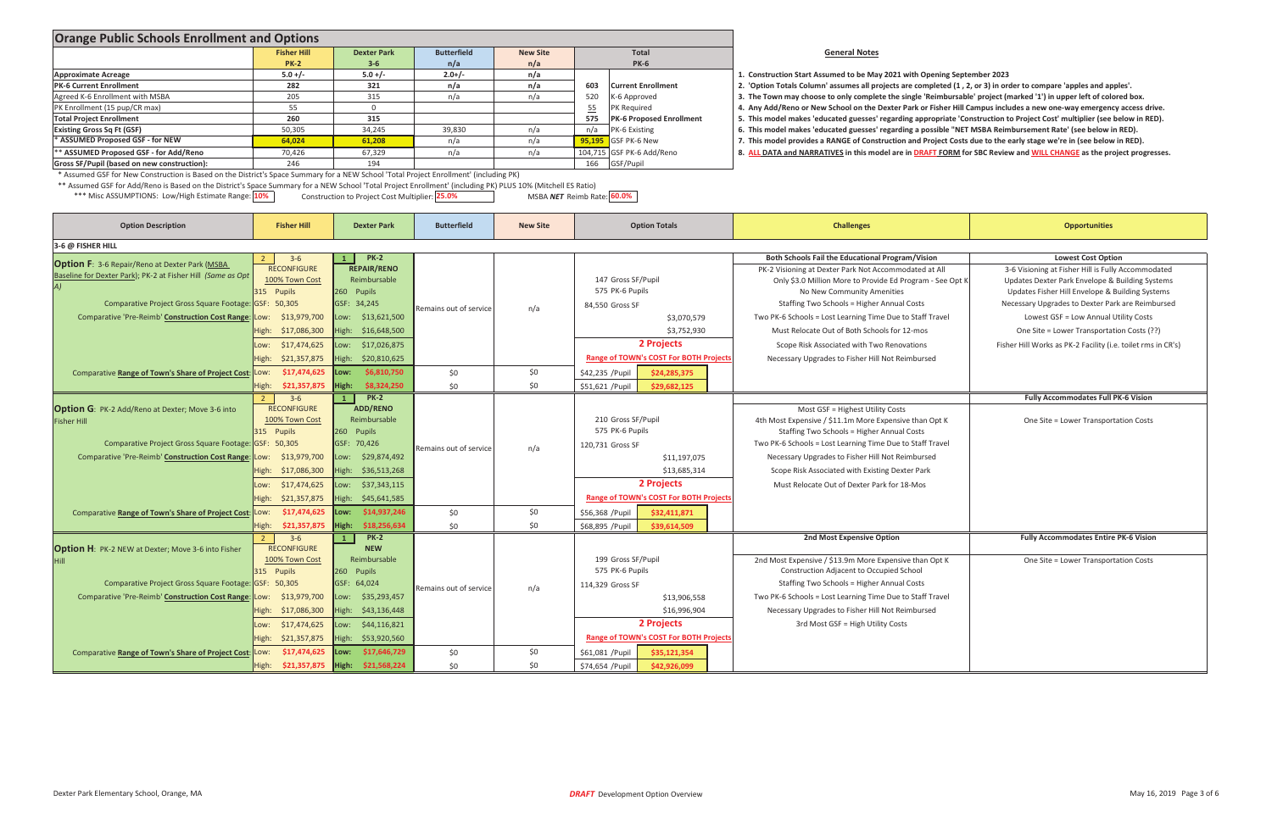# **be May <sup>2021</sup> with Opening September <sup>2023</sup>**

> **Opportunities** t All 3-6 Visioning at Fisher Hill is Fully Accommodated<br>1995 - See Opt K Updates Dexter Park Envelope & Building Systems o Provide Ed Program - See Opt K Updates Dexter Park Envelope & Building Systems Updates Fisher Hill Envelope & Building Systems Necessary Upgrades to Dexter Park are Reimbursed **Fisher Hill Works as PK-2 Facility (i.e. toilet rms in CR's)**  <sup>3</sup>Ͳ<sup>6</sup> **<sup>1</sup> PKͲ<sup>2</sup> Fully Accommodates Full PKͲ<sup>6</sup> Vision** Opt K **One Site = Lower Transportation Costs**  <sup>3</sup>Ͳ<sup>6</sup> **<sup>1</sup> PKͲ<sup>2</sup> 2nd Most Expensive Option Fully Accommodates Entire PKͲ<sup>6</sup> Vision** Opt K **Cone Site = Lower Transportation Costs**

| <b>Orange Public Schools Enrollment and Options</b>                                                                                                                                                                |                                       |                                                |                        |                 |                               |                                               |                                                                                                                          |                                                        |  |  |
|--------------------------------------------------------------------------------------------------------------------------------------------------------------------------------------------------------------------|---------------------------------------|------------------------------------------------|------------------------|-----------------|-------------------------------|-----------------------------------------------|--------------------------------------------------------------------------------------------------------------------------|--------------------------------------------------------|--|--|
|                                                                                                                                                                                                                    | <b>Fisher Hill</b>                    | <b>Dexter Park</b>                             | <b>Butterfield</b>     | <b>New Site</b> |                               | Total                                         | <b>General Notes</b>                                                                                                     |                                                        |  |  |
|                                                                                                                                                                                                                    | <b>PK-2</b>                           | $3 - 6$                                        | n/a                    | n/a             |                               | <b>PK-6</b>                                   |                                                                                                                          |                                                        |  |  |
| <b>Approximate Acreage</b>                                                                                                                                                                                         | $5.0 +/-$                             | $5.0 +/-$                                      | $2.0+/-$               | n/a             |                               |                                               | 1. Construction Start Assumed to be May 2021 with Opening September 2023                                                 |                                                        |  |  |
| <b>PK-6 Current Enrollment</b>                                                                                                                                                                                     | 282                                   | 321                                            | n/a                    | n/a             | 603                           | <b>Current Enrollment</b>                     | 2. 'Option Totals Column' assumes all projects are completed (1, 2, or 3) in order to compare 'apples and apples'.       |                                                        |  |  |
| Agreed K-6 Enrollment with MSBA                                                                                                                                                                                    | 205                                   | 315                                            | n/a                    | n/a             | 520<br>K-6 Approved           |                                               | 3. The Town may choose to only complete the single 'Reimbursable' project (marked '1') in upper left of colored box.     |                                                        |  |  |
| PK Enrollment (15 pup/CR max)                                                                                                                                                                                      | 55                                    | $\Omega$                                       |                        |                 | 55<br>PK Required             |                                               | 4. Any Add/Reno or New School on the Dexter Park or Fisher Hill Campus includes a new one-way emergency access drive     |                                                        |  |  |
| <b>Total Project Enrollment</b>                                                                                                                                                                                    | 260                                   | 315                                            |                        |                 | 575                           | <b>PK-6 Proposed Enrollment</b>               | 5. This model makes 'educated guesses' regarding appropriate 'Construction to Project Cost' multiplier (see below in RED |                                                        |  |  |
| <b>Existing Gross Sq Ft (GSF)</b>                                                                                                                                                                                  | 50,305                                | 34,245                                         | 39,830                 | n/a             | n/a<br>PK-6 Existing          |                                               | 6. This model makes 'educated guesses' regarding a possible "NET MSBA Reimbursement Rate' (see below in RED).            |                                                        |  |  |
| * ASSUMED Proposed GSF - for NEW                                                                                                                                                                                   | 64,024                                | 61,208                                         | n/a                    | n/a             | 95,195<br><b>GSF PK-6 New</b> |                                               | 7. This model provides a RANGE of Construction and Project Costs due to the early stage we're in (see below in RED).     |                                                        |  |  |
| ** ASSUMED Proposed GSF - for Add/Reno                                                                                                                                                                             | 70,426                                | 67,329                                         | n/a                    | n/a             | 104,715 GSF PK-6 Add/Reno     |                                               | 8. ALL DATA and NARRATIVES in this model are in DRAFT FORM for SBC Review and WILL CHANGE as the project progress        |                                                        |  |  |
| Gross SF/Pupil (based on new construction):                                                                                                                                                                        | 246                                   | 194                                            |                        |                 | 166<br>GSF/Pupil              |                                               |                                                                                                                          |                                                        |  |  |
| * Assumed GSF for New Construction is Based on the District's Space Summary for a NEW School 'Total Project Enrollment' (including PK)                                                                             |                                       |                                                |                        |                 |                               |                                               |                                                                                                                          |                                                        |  |  |
| ** Assumed GSF for Add/Reno is Based on the District's Space Summary for a NEW School 'Total Project Enrollment' (including PK) PLUS 10% (Mitchell ES Ratio)<br>*** Misc ASSUMPTIONS: Low/High Estimate Range: 10% |                                       | Construction to Project Cost Multiplier: 25.0% |                        |                 | MSBA NET Reimb Rate: 60.0%    |                                               |                                                                                                                          |                                                        |  |  |
| <b>Option Description</b>                                                                                                                                                                                          | <b>Fisher Hill</b>                    | <b>Dexter Park</b>                             | <b>Butterfield</b>     | <b>New Site</b> |                               | <b>Option Totals</b>                          | <b>Challenges</b>                                                                                                        | <b>Opportunities</b>                                   |  |  |
| 3-6 @ FISHER HILL                                                                                                                                                                                                  |                                       | <b>PK-2</b>                                    |                        |                 |                               |                                               | Both Schools Fail the Educational Program/Vision                                                                         | <b>Lowest Cost Option</b>                              |  |  |
| <b>Option F:</b> 3-6 Repair/Reno at Dexter Park (MSBA                                                                                                                                                              | $3-6$<br>$\overline{2}$               | <b>REPAIR/RENO</b>                             |                        |                 |                               |                                               |                                                                                                                          |                                                        |  |  |
| Baseline for Dexter Park); PK-2 at Fisher Hill (Same as Opt                                                                                                                                                        | <b>RECONFIGURE</b>                    |                                                |                        |                 |                               |                                               | PK-2 Visioning at Dexter Park Not Accommodated at All                                                                    | 3-6 Visioning at Fisher Hill is Fully Accommoda        |  |  |
|                                                                                                                                                                                                                    | 100% Town Cost                        | Reimbursable                                   |                        |                 | 147 Gross SF/Pupil            |                                               | Only \$3.0 Million More to Provide Ed Program - See Opt K                                                                | Updates Dexter Park Envelope & Building Syst           |  |  |
|                                                                                                                                                                                                                    | 315 Pupils                            | 260 Pupils                                     |                        |                 | 575 PK-6 Pupils               |                                               | No New Community Amenities                                                                                               | Updates Fisher Hill Envelope & Building Syste          |  |  |
| Comparative Project Gross Square Footage: GSF: 50,305                                                                                                                                                              |                                       | GSF: 34,245                                    | Remains out of service | n/a             | 84,550 Gross SF               |                                               | Staffing Two Schools = Higher Annual Costs                                                                               | Necessary Upgrades to Dexter Park are Reimbu           |  |  |
| Comparative 'Pre-Reimb' Construction Cost Range: Low:                                                                                                                                                              | \$13,979,700                          | ow: \$13,621,500                               |                        |                 |                               | \$3,070,579                                   | Two PK-6 Schools = Lost Learning Time Due to Staff Travel                                                                | Lowest GSF = Low Annual Utility Costs                  |  |  |
|                                                                                                                                                                                                                    | \$17,086,300<br>High:                 | High: \$16,648,500                             |                        |                 |                               | \$3,752,930                                   | Must Relocate Out of Both Schools for 12-mos                                                                             | One Site = Lower Transportation Costs (??)             |  |  |
|                                                                                                                                                                                                                    |                                       |                                                |                        |                 |                               | 2 Projects                                    |                                                                                                                          |                                                        |  |  |
|                                                                                                                                                                                                                    | \$17,474,625<br>Low:                  | Low: \$17,026,875                              |                        |                 |                               |                                               | Scope Risk Associated with Two Renovations                                                                               | Fisher Hill Works as PK-2 Facility (i.e. toilet rms in |  |  |
|                                                                                                                                                                                                                    | \$21,357,875<br>High:                 | High: \$20,810,625                             |                        |                 |                               | <b>Range of TOWN's COST For BOTH Projects</b> | Necessary Upgrades to Fisher Hill Not Reimbursed                                                                         |                                                        |  |  |
| Comparative Range of Town's Share of Project Cost: Low:                                                                                                                                                            | \$17,474,625                          | \$6,810,750<br>Low:                            | \$0                    | \$0             | \$42,235 / Pupil              | \$24,285,375                                  |                                                                                                                          |                                                        |  |  |
|                                                                                                                                                                                                                    | High: \$21,357,875                    | High:<br>\$8,324,250                           | \$0                    | \$0             | \$51,621 / Pupil              | \$29,682,125                                  |                                                                                                                          |                                                        |  |  |
|                                                                                                                                                                                                                    | $3-6$<br>$\overline{2}$               | <b>PK-2</b><br>$\mathbf{1}$                    |                        |                 |                               |                                               |                                                                                                                          | Fully Accommodates Full PK-6 Vision                    |  |  |
| <b>Option G</b> : PK-2 Add/Reno at Dexter; Move 3-6 into                                                                                                                                                           | <b>RECONFIGURE</b>                    | <b>ADD/RENO</b>                                |                        |                 |                               |                                               | Most GSF = Highest Utility Costs                                                                                         |                                                        |  |  |
|                                                                                                                                                                                                                    | 100% Town Cost                        | Reimbursable                                   |                        |                 |                               |                                               | 4th Most Expensive / \$11.1m More Expensive than Opt K                                                                   |                                                        |  |  |
| <b>Fisher Hill</b>                                                                                                                                                                                                 |                                       |                                                |                        |                 | 210 Gross SF/Pupil            |                                               |                                                                                                                          | One Site = Lower Transportation Costs                  |  |  |
|                                                                                                                                                                                                                    | 315 Pupils                            | 260 Pupils                                     |                        |                 | 575 PK-6 Pupils               |                                               | Staffing Two Schools = Higher Annual Costs                                                                               |                                                        |  |  |
| Comparative Project Gross Square Footage: GSF: 50,305                                                                                                                                                              |                                       | GSF: 70,426                                    | Remains out of service | n/a             | 120,731 Gross SF              |                                               | Two PK-6 Schools = Lost Learning Time Due to Staff Travel                                                                |                                                        |  |  |
| Comparative 'Pre-Reimb' Construction Cost Range: Low:                                                                                                                                                              | \$13,979,700                          | Low: \$29,874,492                              |                        |                 |                               | \$11,197,075                                  | Necessary Upgrades to Fisher Hill Not Reimbursed                                                                         |                                                        |  |  |
|                                                                                                                                                                                                                    | \$17,086,300<br>High:                 | High: \$36,513,268                             |                        |                 |                               | \$13.685.314                                  | Scope Risk Associated with Existing Dexter Park                                                                          |                                                        |  |  |
|                                                                                                                                                                                                                    | Low: \$17,474,625                     | Low: \$37,343,115                              |                        |                 |                               | 2 Projects                                    | Must Relocate Out of Dexter Park for 18-Mos                                                                              |                                                        |  |  |
|                                                                                                                                                                                                                    |                                       |                                                |                        |                 |                               |                                               |                                                                                                                          |                                                        |  |  |
|                                                                                                                                                                                                                    | \$21,357,875<br>High:                 | High: \$45,641,585                             |                        |                 |                               | <b>Range of TOWN's COST For BOTH Projects</b> |                                                                                                                          |                                                        |  |  |
| Comparative Range of Town's Share of Project Cost: Low:                                                                                                                                                            | \$17,474,625                          | \$14,937,246<br>Low:                           | \$0                    | \$0             | \$56,368 / Pupil              | \$32,411,871                                  |                                                                                                                          |                                                        |  |  |
|                                                                                                                                                                                                                    | High: \$21,357,875                    | High: \$18,256,634                             | \$0                    | \$0             | \$68,895 / Pupil              | \$39,614,509                                  |                                                                                                                          |                                                        |  |  |
|                                                                                                                                                                                                                    | $3-6$<br>$\overline{2}$               | <b>PK-2</b><br>$\mathbf{1}$                    |                        |                 |                               |                                               | 2nd Most Expensive Option                                                                                                | <b>Fully Accommodates Entire PK-6 Vision</b>           |  |  |
| <b>Option H</b> : PK-2 NEW at Dexter; Move 3-6 into Fisher                                                                                                                                                         | <b>RECONFIGURE</b>                    | <b>NEW</b>                                     |                        |                 |                               |                                               |                                                                                                                          |                                                        |  |  |
|                                                                                                                                                                                                                    | 100% Town Cost                        | Reimbursable                                   |                        |                 | 199 Gross SF/Pupil            |                                               | 2nd Most Expensive / \$13.9m More Expensive than Opt K                                                                   | One Site = Lower Transportation Costs                  |  |  |
|                                                                                                                                                                                                                    | 315 Pupils                            | 260 Pupils                                     |                        |                 | 575 PK-6 Pupils               |                                               | Construction Adjacent to Occupied School                                                                                 |                                                        |  |  |
|                                                                                                                                                                                                                    |                                       |                                                |                        |                 |                               |                                               |                                                                                                                          |                                                        |  |  |
| Comparative Project Gross Square Footage: GSF: 50,305                                                                                                                                                              |                                       | GSF: 64,024                                    | Remains out of service | n/a             | 114,329 Gross SF              |                                               | <b>Staffing Two Schools = Higher Annual Costs</b>                                                                        |                                                        |  |  |
| Comparative 'Pre-Reimb' Construction Cost Range: Low:                                                                                                                                                              | \$13,979,700                          | Low: \$35,293,457                              |                        |                 |                               | \$13,906,558                                  | Two PK-6 Schools = Lost Learning Time Due to Staff Travel                                                                |                                                        |  |  |
|                                                                                                                                                                                                                    | High: \$17,086,300                    | High: \$43,136,448                             |                        |                 |                               | \$16,996,904                                  | Necessary Upgrades to Fisher Hill Not Reimbursed                                                                         |                                                        |  |  |
|                                                                                                                                                                                                                    | \$17,474,625<br>Low:                  | Low: \$44,116,821                              |                        |                 |                               | 2 Projects                                    | 3rd Most GSF = High Utility Costs                                                                                        |                                                        |  |  |
|                                                                                                                                                                                                                    |                                       |                                                |                        |                 |                               |                                               |                                                                                                                          |                                                        |  |  |
|                                                                                                                                                                                                                    | High: \$21,357,875                    | High: \$53,920,560                             |                        |                 |                               | <b>Range of TOWN's COST For BOTH Projects</b> |                                                                                                                          |                                                        |  |  |
| Comparative Range of Town's Share of Project Cost                                                                                                                                                                  | \$17,474,625<br>Low:                  | \$17,646,729<br>Low:                           | \$0                    | \$0             | \$61,081 / Pupil              | \$35,121,354                                  |                                                                                                                          |                                                        |  |  |
|                                                                                                                                                                                                                    | High: \$21,357,875 High: \$21,568,224 |                                                | \$0                    | \$0             | \$74,654 / Pupil              | \$42,926,099                                  |                                                                                                                          |                                                        |  |  |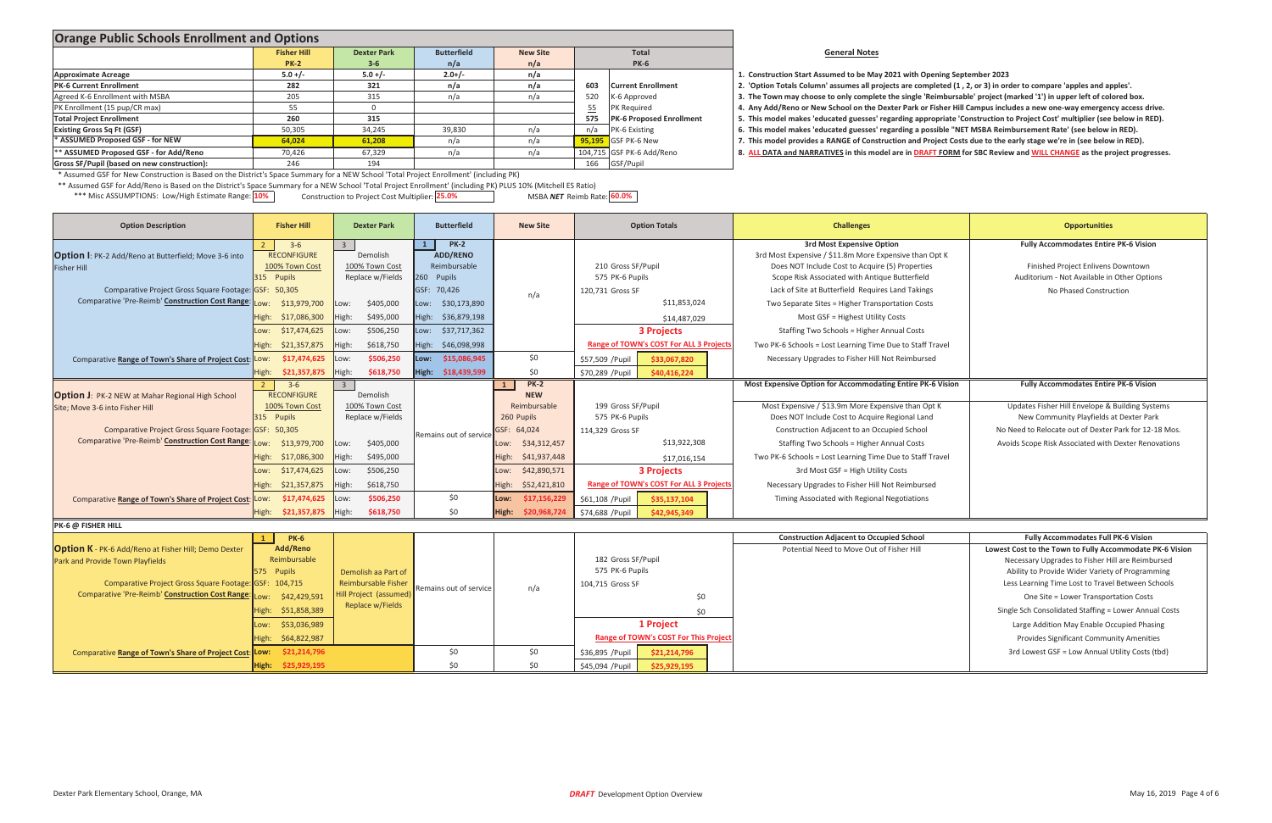### **General Notes**

| Construction Start Assumed to be May 2021 with Ope   |
|------------------------------------------------------|
| 'Option Totals Column' assumes all projects are comp |
| The Town may choose to only complete the single 'Re  |
| Any Add/Reno or New School on the Dexter Park or F   |
| This model makes 'educated guesses' regarding appro  |
| This model makes 'educated guesses' regarding a pos  |
|                                                      |

- 
- 

## **be May <sup>2021</sup> with Opening September <sup>2023</sup>**

| <b>Orange Public Schools Enrollment and Options</b>                                                                                    |                    |                    |                    |                 |     |                                |                                                                                                                            |
|----------------------------------------------------------------------------------------------------------------------------------------|--------------------|--------------------|--------------------|-----------------|-----|--------------------------------|----------------------------------------------------------------------------------------------------------------------------|
|                                                                                                                                        | <b>Fisher Hill</b> | <b>Dexter Park</b> | <b>Butterfield</b> | <b>New Site</b> |     | <b>Total</b>                   | <b>General Notes</b>                                                                                                       |
|                                                                                                                                        | <b>PK-2</b>        | $3 - 6$            | n/a                | n/a             |     | <b>PK-6</b>                    |                                                                                                                            |
| <b>Approximate Acreage</b>                                                                                                             | $5.0 +/-$          | $5.0 +/-$          | $2.0+/-$           | n/a             |     |                                | 1. Construction Start Assumed to be May 2021 with Opening September 2023                                                   |
| <b>PK-6 Current Enrollment</b>                                                                                                         | 282                | 321                | n/a                | n/a             | 603 | <b>Current Enrollment</b>      | 2. 'Option Totals Column' assumes all projects are completed (1, 2, or 3) in order to compare 'apples and apples'.         |
| Agreed K-6 Enrollment with MSBA                                                                                                        | 205                | 315                | n/a                | n/a             | 520 | K-6 Approved                   | 3. The Town may choose to only complete the single 'Reimbursable' project (marked '1') in upper left of colored box.       |
| PK Enrollment (15 pup/CR max)                                                                                                          |                    |                    |                    |                 |     | <b>PK</b> Required             | 4. Any Add/Reno or New School on the Dexter Park or Fisher Hill Campus includes a new one-way emergency access drive.      |
| <b>Total Project Enrollment</b>                                                                                                        | 260                | 315                |                    |                 |     | 575   PK-6 Proposed Enrollment | 5. This model makes 'educated guesses' regarding appropriate 'Construction to Project Cost' multiplier (see below in RED). |
| <b>Existing Gross Sq Ft (GSF)</b>                                                                                                      | 50,305             | 34,245             | 39,830             | n/a             |     | PK-6 Existing                  | 6. This model makes 'educated guesses' regarding a possible "NET MSBA Reimbursement Rate' (see below in RED).              |
| * ASSUMED Proposed GSF - for NEW                                                                                                       | 64,024             | 61,208             | n/a                | n/a             |     | <b>95,195</b> GSF PK-6 New     | 7. This model provides a RANGE of Construction and Project Costs due to the early stage we're in (see below in RED).       |
| ** ASSUMED Proposed GSF - for Add/Reno                                                                                                 | 70,426             | 67,329             | n/a                | n/a             |     | 104,715 GSF PK-6 Add/Reno      | 8. ALL DATA and NARRATIVES in this model are in DRAFT FORM for SBC Review and WILL CHANGE as the project progresses        |
| Gross SF/Pupil (based on new construction):                                                                                            | 246                | 194                |                    |                 |     | 166 GSF/Pupil                  |                                                                                                                            |
| * Assumed GSF for New Construction is Based on the District's Space Summary for a NEW School 'Total Project Enrollment' (including PK) |                    |                    |                    |                 |     |                                |                                                                                                                            |
| بان المصري المصري المسلمان المسلم التي تقال المنبيِّن المسلم المنبيِّن المسلم الحسن المسلم المسلم المسلم المسل                         |                    |                    |                    |                 |     |                                |                                                                                                                            |

\*\* Assumed GSF for Add/Reno is Based on the District's Space Summary for <sup>a</sup> NEW School 'Total Project Enrollment' (including PK) PLUS 10% (Mitchell ES Ratio)

\*\*\* Misc ASSUMPTIONS: Low/High Estimate Range: <mark>10%</mark> **25.0**% **construction to Project Cost Multiplier:** 25.0% **19.00%** MSBA NET Reimb Rate: <mark>60.0%</mark> MSBA **NET** Reimb Rate: 60.0%

| <b>Option Description</b>                                                                                                                                                                                    | <b>Fisher Hill</b>                                                                                                                                      | <b>Dexter Park</b>                                                                              | <b>Butterfield</b>                                                                       | <b>New Site</b>                                                        | <b>Option Totals</b>                                                                                                                | <b>Challenges</b>                                                                                                                                                                                                                                    | <b>Opportunities</b>                                                                                                                                                                                                                                                                                                                                                                                                                                                  |
|--------------------------------------------------------------------------------------------------------------------------------------------------------------------------------------------------------------|---------------------------------------------------------------------------------------------------------------------------------------------------------|-------------------------------------------------------------------------------------------------|------------------------------------------------------------------------------------------|------------------------------------------------------------------------|-------------------------------------------------------------------------------------------------------------------------------------|------------------------------------------------------------------------------------------------------------------------------------------------------------------------------------------------------------------------------------------------------|-----------------------------------------------------------------------------------------------------------------------------------------------------------------------------------------------------------------------------------------------------------------------------------------------------------------------------------------------------------------------------------------------------------------------------------------------------------------------|
| <b>Option I: PK-2 Add/Reno at Butterfield; Move 3-6 into</b><br><b>Fisher Hill</b><br>Comparative Project Gross Square Footage: GSF: 50,305                                                                  | $3 - 6$<br><b>RECONFIGURE</b><br>100% Town Cost<br>315 Pupils                                                                                           | Demolish<br>100% Town Cost<br>Replace w/Fields                                                  | <b>PK-2</b><br><b>ADD/RENO</b><br>Reimbursable<br>260 Pupils<br>GSF: 70,426              |                                                                        | 210 Gross SF/Pupil<br>575 PK-6 Pupils                                                                                               | <b>3rd Most Expensive Option</b><br>3rd Most Expensive / \$11.8m More Expensive than Opt K<br>Does NOT Include Cost to Acquire (5) Properties<br>Scope Risk Associated with Antique Butterfield<br>Lack of Site at Butterfield Requires Land Takings | <b>Fully Accommodates Entire PK-6 Vision</b><br>Finished Project Enlivens Downtown<br>Auditorium - Not Available in Other Options<br>No Phased Construction                                                                                                                                                                                                                                                                                                           |
| Comparative 'Pre-Reimb' Construction Cost Range:                                                                                                                                                             | \$13,979,700<br>:wo.<br>\$17,086,300<br>High:                                                                                                           | \$405,000<br>Low:<br>\$495,000<br>High:                                                         | Low: \$30,173,890<br>High: \$36,879,198                                                  | n/a                                                                    | 120,731 Gross SF<br>\$11,853,024<br>\$14,487,029                                                                                    | Two Separate Sites = Higher Transportation Costs<br>Most GSF = Highest Utility Costs                                                                                                                                                                 |                                                                                                                                                                                                                                                                                                                                                                                                                                                                       |
| Comparative Range of Town's Share of Project Cost:                                                                                                                                                           | \$17,474,625<br>Low:<br>High:<br>\$21,357,875<br>\$17,474,625<br>Low:<br>High:<br>\$21,357,875                                                          | \$506,250<br>Low:<br>\$618,750<br>High:<br>\$506,250<br>:wo.<br>High:<br>\$618,750              | Low: \$37,717,362<br>\$46,098,998<br>High:<br>\$15,086,945<br>Low:<br>High: \$18,439,599 | \$0<br>\$0                                                             | <b>3 Projects</b><br>Range of TOWN's COST For ALL 3 Project<br>\$33,067,820<br>\$57,509 / Pupil<br>\$70,289 / Pupil<br>\$40,416,224 | Staffing Two Schools = Higher Annual Costs<br>Two PK-6 Schools = Lost Learning Time Due to Staff Travel<br>Necessary Upgrades to Fisher Hill Not Reimbursed                                                                                          |                                                                                                                                                                                                                                                                                                                                                                                                                                                                       |
| <b>Option J: PK-2 NEW at Mahar Regional High School</b>                                                                                                                                                      | $3 - 6$<br>$\overline{2}$<br><b>RECONFIGURE</b><br>100% Town Cost                                                                                       | $\overline{3}$<br>Demolish<br>100% Town Cost                                                    |                                                                                          | $PK-2$<br>$\mathbf{1}$<br><b>NEW</b><br>Reimbursable                   | 199 Gross SF/Pupil                                                                                                                  | Most Expensive Option for Accommodating Entire PK-6 Vision<br>Most Expensive / \$13.9m More Expensive than Opt K                                                                                                                                     | <b>Fully Accommodates Entire PK-6 Vision</b><br>Updates Fisher Hill Envelope & Building Systems                                                                                                                                                                                                                                                                                                                                                                       |
| Site: Move 3-6 into Fisher Hill<br>Comparative Project Gross Square Footage: GSF: 50,305<br>Comparative 'Pre-Reimb' Construction Cost Range:                                                                 | 315 Pupils<br>\$13,979,700<br>:wo                                                                                                                       | Replace w/Fields<br>\$405,000<br>Low:                                                           | Remains out of service                                                                   | 260 Pupils<br>GSF: 64,024<br>\$34,312,457<br>Low:                      | 575 PK-6 Pupils<br>114,329 Gross SF<br>\$13,922,308                                                                                 | Does NOT Include Cost to Acquire Regional Land<br>Construction Adjacent to an Occupied School<br>Staffing Two Schools = Higher Annual Costs                                                                                                          | New Community Playfields at Dexter Park<br>No Need to Relocate out of Dexter Park for 12-18 Mos.<br>Avoids Scope Risk Associated with Dexter Renovations                                                                                                                                                                                                                                                                                                              |
|                                                                                                                                                                                                              | High:<br>\$17,086,300<br>\$17,474,625<br>Low:                                                                                                           | \$495,000<br>High:<br>\$506,250<br>Low:                                                         |                                                                                          | \$41,937,448<br>High:<br>\$42,890,571<br>Low:                          | \$17,016,154<br><b>3 Projects</b>                                                                                                   | Two PK-6 Schools = Lost Learning Time Due to Staff Travel<br>3rd Most GSF = High Utility Costs                                                                                                                                                       |                                                                                                                                                                                                                                                                                                                                                                                                                                                                       |
| Comparative Range of Town's Share of Project Cost: Low:                                                                                                                                                      | \$21,357,875<br>High:<br>\$17,474,625<br>High:<br>\$21,357,875                                                                                          | \$618,750<br>High:<br>\$506,250<br>Low:<br>High:<br>\$618,750                                   | \$0<br>\$0                                                                               | High:<br>\$52,421,810<br>\$17,156,229<br>Low:<br>\$20,968,724<br>High: | <b>Range of TOWN's COST For ALL 3 Project</b><br>\$61,108 / Pupil<br>\$35,137,104<br>\$74,688 / Pupil<br>\$42,945,349               | Necessary Upgrades to Fisher Hill Not Reimbursed<br>Timing Associated with Regional Negotiations                                                                                                                                                     |                                                                                                                                                                                                                                                                                                                                                                                                                                                                       |
| PK-6 @ FISHER HILL                                                                                                                                                                                           |                                                                                                                                                         |                                                                                                 |                                                                                          |                                                                        |                                                                                                                                     |                                                                                                                                                                                                                                                      |                                                                                                                                                                                                                                                                                                                                                                                                                                                                       |
| <b>Option K</b> - PK-6 Add/Reno at Fisher Hill; Demo Dexter<br>Park and Provide Town Playfields<br>Comparative Project Gross Square Footage: GSF: 104,715<br>Comparative 'Pre-Reimb' Construction Cost Range | <b>PK-6</b><br>Add/Reno<br>Reimbursable<br>575 Pupils<br>\$42,429,591<br>:wo.<br>\$51,858,389<br>High:<br>\$53,036,989<br>Low:<br>\$64,822,987<br>High: | Demolish aa Part of<br><b>Reimbursable Fisher</b><br>Hill Project (assumed)<br>Replace w/Fields | Remains out of service                                                                   | n/a                                                                    | 182 Gross SF/Pupil<br>575 PK-6 Pupils<br>104,715 Gross SF<br>\$0<br>\$0<br>1 Project<br><b>Range of TOWN's COST For This Projec</b> | <b>Construction Adjacent to Occupied School</b><br>Potential Need to Move Out of Fisher Hill                                                                                                                                                         | <b>Fully Accommodates Full PK-6 Vision</b><br>Lowest Cost to the Town to Fully Accommodate PK-6 Vision<br>Necessary Upgrades to Fisher Hill are Reimbursed<br>Ability to Provide Wider Variety of Programming<br>Less Learning Time Lost to Travel Between Schools<br>One Site = Lower Transportation Costs<br>Single Sch Consolidated Staffing = Lower Annual Costs<br>Large Addition May Enable Occupied Phasing<br><b>Provides Significant Community Amenities</b> |
| <b>Comparative Range of Town's Share of Project Cost:</b>                                                                                                                                                    | \$21,214,796<br>Low:                                                                                                                                    |                                                                                                 | \$0<br>\$0                                                                               | \$0<br>\$0                                                             | \$36,895 / Pupil<br>\$21,214,796                                                                                                    |                                                                                                                                                                                                                                                      | 3rd Lowest GSF = Low Annual Utility Costs (tbd)                                                                                                                                                                                                                                                                                                                                                                                                                       |
|                                                                                                                                                                                                              | High: \$25,929,195                                                                                                                                      |                                                                                                 |                                                                                          |                                                                        | \$45,094 / Pupil<br>\$25,929,195                                                                                                    |                                                                                                                                                                                                                                                      |                                                                                                                                                                                                                                                                                                                                                                                                                                                                       |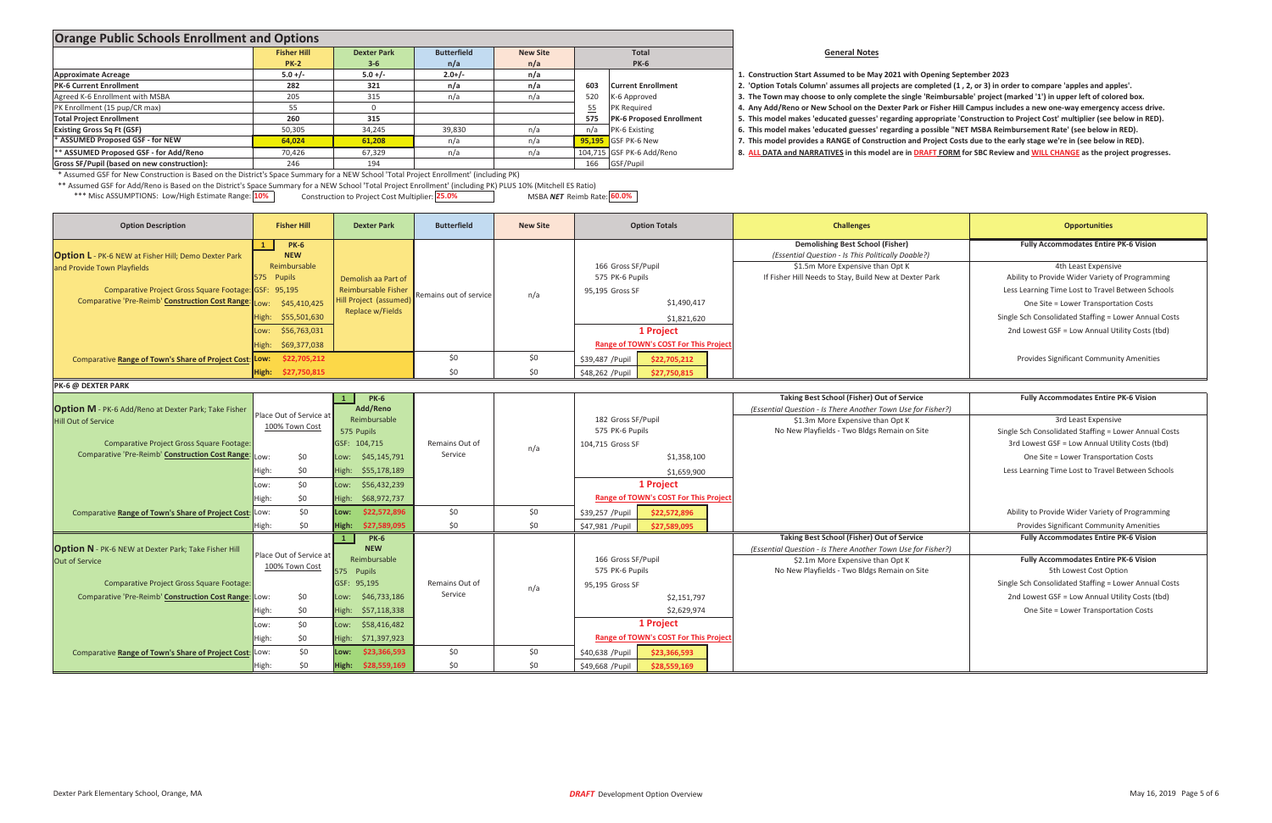| <b>Orange Public Schools Enrollment and Options</b>                                                                                                                                                                                                                                                |                         |                             |                        |                 |                                  |                                              |  |                                                                                                                                                                                                                                       |                                                       |  |
|----------------------------------------------------------------------------------------------------------------------------------------------------------------------------------------------------------------------------------------------------------------------------------------------------|-------------------------|-----------------------------|------------------------|-----------------|----------------------------------|----------------------------------------------|--|---------------------------------------------------------------------------------------------------------------------------------------------------------------------------------------------------------------------------------------|-------------------------------------------------------|--|
|                                                                                                                                                                                                                                                                                                    | <b>Fisher Hill</b>      | <b>Dexter Park</b>          | <b>Butterfield</b>     | <b>New Site</b> |                                  | <b>Total</b>                                 |  | <b>General Notes</b>                                                                                                                                                                                                                  |                                                       |  |
|                                                                                                                                                                                                                                                                                                    | <b>PK-2</b>             | $3 - 6$                     | n/a                    | n/a             |                                  | <b>PK-6</b>                                  |  |                                                                                                                                                                                                                                       |                                                       |  |
| <b>Approximate Acreage</b>                                                                                                                                                                                                                                                                         | $5.0 +/-$               | $5.0 +/-$                   | $2.0+/-$               | n/a             |                                  |                                              |  | 1. Construction Start Assumed to be May 2021 with Opening September 2023                                                                                                                                                              |                                                       |  |
| <b>PK-6 Current Enrollment</b>                                                                                                                                                                                                                                                                     | 282                     | 321                         | n/a                    | n/a             | 603                              | <b>Current Enrollment</b>                    |  | 2. 'Option Totals Column' assumes all projects are completed (1, 2, or 3) in order to compare 'apples and apples'.                                                                                                                    |                                                       |  |
| Agreed K-6 Enrollment with MSBA                                                                                                                                                                                                                                                                    | 205                     | 315                         | n/a                    | n/a             | 520                              | K-6 Approved                                 |  | 3. The Town may choose to only complete the single 'Reimbursable' project (marked '1') in upper left of colored box.                                                                                                                  |                                                       |  |
| PK Enrollment (15 pup/CR max)                                                                                                                                                                                                                                                                      | 55                      | $\overline{0}$              |                        |                 | 55                               | PK Required                                  |  | 4. Any Add/Reno or New School on the Dexter Park or Fisher Hill Campus includes a new one-way emergency access drive.                                                                                                                 |                                                       |  |
| <b>Total Project Enrollment</b>                                                                                                                                                                                                                                                                    | 260                     | 315                         |                        |                 | 575                              | <b>PK-6 Proposed Enrollment</b>              |  | 5. This model makes 'educated guesses' regarding appropriate 'Construction to Project Cost' multiplier (see below in RED).                                                                                                            |                                                       |  |
| <b>Existing Gross Sq Ft (GSF)</b>                                                                                                                                                                                                                                                                  | 50,305                  | 34,245                      | 39,830                 | n/a             | n/a                              | PK-6 Existing                                |  | 6. This model makes 'educated guesses' regarding a possible "NET MSBA Reimbursement Rate' (see below in RED).<br>7. This model provides a RANGE of Construction and Project Costs due to the early stage we're in (see below in RED). |                                                       |  |
| * ASSUMED Proposed GSF - for NEW                                                                                                                                                                                                                                                                   | 64,024                  | 61,208                      | n/a                    | n/a             | 95,195                           | GSF PK-6 New                                 |  |                                                                                                                                                                                                                                       |                                                       |  |
| ** ASSUMED Proposed GSF - for Add/Reno                                                                                                                                                                                                                                                             | 70,426                  | 67,329                      | n/a                    | n/a             | 104,715 GSF PK-6 Add/Reno        |                                              |  | 8. ALL DATA and NARRATIVES in this model are in DRAFT FORM for SBC Review and WILL CHANGE as the project progresses.                                                                                                                  |                                                       |  |
| Gross SF/Pupil (based on new construction):                                                                                                                                                                                                                                                        | 246                     | 194                         |                        |                 | 166<br>GSF/Pupil                 |                                              |  |                                                                                                                                                                                                                                       |                                                       |  |
| * Assumed GSF for New Construction is Based on the District's Space Summary for a NEW School 'Total Project Enrollment' (including PK)                                                                                                                                                             |                         |                             |                        |                 |                                  |                                              |  |                                                                                                                                                                                                                                       |                                                       |  |
| ** Assumed GSF for Add/Reno is Based on the District's Space Summary for a NEW School 'Total Project Enrollment' (including PK) PLUS 10% (Mitchell ES Ratio)<br>*** Misc ASSUMPTIONS: Low/High Estimate Range: 10%<br>Construction to Project Cost Multiplier: 25.0%<br>MSBA NET Reimb Rate: 60.0% |                         |                             |                        |                 |                                  |                                              |  |                                                                                                                                                                                                                                       |                                                       |  |
| <b>Option Description</b>                                                                                                                                                                                                                                                                          | <b>Fisher Hill</b>      | <b>Dexter Park</b>          | <b>Butterfield</b>     | <b>New Site</b> |                                  | <b>Option Totals</b>                         |  | <b>Challenges</b>                                                                                                                                                                                                                     | <b>Opportunities</b>                                  |  |
|                                                                                                                                                                                                                                                                                                    | <b>PK-6</b>             |                             |                        |                 |                                  |                                              |  | Demolishing Best School (Fisher)                                                                                                                                                                                                      | <b>Fully Accommodates Entire PK-6 Vision</b>          |  |
| <b>Option L</b> - PK-6 NEW at Fisher Hill; Demo Dexter Park                                                                                                                                                                                                                                        | <b>NEW</b>              |                             |                        |                 |                                  |                                              |  | (Essential Question - Is This Politically Doable?)                                                                                                                                                                                    |                                                       |  |
| and Provide Town Playfields                                                                                                                                                                                                                                                                        | Reimbursable            |                             |                        |                 | 166 Gross SF/Pupil               |                                              |  | \$1.5m More Expensive than Opt K                                                                                                                                                                                                      | 4th Least Expensive                                   |  |
|                                                                                                                                                                                                                                                                                                    | 575 Pupils              | Demolish aa Part of         |                        |                 | 575 PK-6 Pupils                  |                                              |  | If Fisher Hill Needs to Stay, Build New at Dexter Park                                                                                                                                                                                | Ability to Provide Wider Variety of Programming       |  |
| Comparative Project Gross Square Footage: GSF: 95,195                                                                                                                                                                                                                                              |                         | <b>Reimbursable Fisher</b>  | Remains out of service | n/a             | 95,195 Gross SF                  |                                              |  |                                                                                                                                                                                                                                       | Less Learning Time Lost to Travel Between Schools     |  |
| <b>Comparative 'Pre-Reimb' Construction Cost Range</b>                                                                                                                                                                                                                                             | \$45,410,425<br>:wo     | Hill Project (assumed)      |                        |                 |                                  | \$1,490,417                                  |  |                                                                                                                                                                                                                                       | One Site = Lower Transportation Costs                 |  |
|                                                                                                                                                                                                                                                                                                    | \$55,501,630<br>High:   | Replace w/Fields            |                        |                 |                                  | \$1,821,620                                  |  |                                                                                                                                                                                                                                       | Single Sch Consolidated Staffing = Lower Annual Costs |  |
|                                                                                                                                                                                                                                                                                                    | \$56,763,031<br>Low:    |                             |                        |                 |                                  | 1 Project                                    |  |                                                                                                                                                                                                                                       | 2nd Lowest GSF = Low Annual Utility Costs (tbd)       |  |
|                                                                                                                                                                                                                                                                                                    | High:<br>\$69,377,038   |                             |                        |                 |                                  | <b>Range of TOWN's COST For This Projec</b>  |  |                                                                                                                                                                                                                                       |                                                       |  |
|                                                                                                                                                                                                                                                                                                    |                         |                             |                        |                 |                                  |                                              |  |                                                                                                                                                                                                                                       |                                                       |  |
| Comparative Range of Town's Share of Project Cost: Low:                                                                                                                                                                                                                                            | \$22,705,212            |                             | \$0                    | \$0             | \$39,487 / Pupil<br>\$22,705,212 |                                              |  |                                                                                                                                                                                                                                       | <b>Provides Significant Community Amenities</b>       |  |
|                                                                                                                                                                                                                                                                                                    | High:<br>\$27,750,815   |                             | \$0                    | \$0             | \$48,262 / Pupil<br>\$27,750,815 |                                              |  |                                                                                                                                                                                                                                       |                                                       |  |
| PK-6 @ DEXTER PARK                                                                                                                                                                                                                                                                                 |                         |                             |                        |                 |                                  |                                              |  |                                                                                                                                                                                                                                       |                                                       |  |
|                                                                                                                                                                                                                                                                                                    |                         | <b>PK-6</b>                 |                        |                 |                                  |                                              |  | <b>Taking Best School (Fisher) Out of Service</b>                                                                                                                                                                                     | <b>Fully Accommodates Entire PK-6 Vision</b>          |  |
| <b>Option M</b> - PK-6 Add/Reno at Dexter Park; Take Fisher                                                                                                                                                                                                                                        | Place Out of Service at | Add/Reno                    |                        |                 |                                  |                                              |  | (Essential Question - Is There Another Town Use for Fisher?)                                                                                                                                                                          |                                                       |  |
| <b>Hill Out of Service</b>                                                                                                                                                                                                                                                                         | 100% Town Cost          | Reimbursable                |                        |                 | 182 Gross SF/Pupil               |                                              |  | \$1.3m More Expensive than Opt K                                                                                                                                                                                                      | 3rd Least Expensive                                   |  |
|                                                                                                                                                                                                                                                                                                    |                         | 575 Pupils                  |                        |                 | 575 PK-6 Pupils                  |                                              |  | No New Playfields - Two Bldgs Remain on Site                                                                                                                                                                                          | Single Sch Consolidated Staffing = Lower Annual Costs |  |
| Comparative Project Gross Square Footage:                                                                                                                                                                                                                                                          |                         | GSF: 104,715                | Remains Out of         | n/a             | 104,715 Gross SF                 |                                              |  |                                                                                                                                                                                                                                       | 3rd Lowest GSF = Low Annual Utility Costs (tbd)       |  |
| Comparative 'Pre-Reimb' Construction Cost Range                                                                                                                                                                                                                                                    | \$0<br>Low:             | \$45,145,791<br>Low:        | Service                |                 |                                  | \$1,358,100                                  |  |                                                                                                                                                                                                                                       | One Site = Lower Transportation Costs                 |  |
|                                                                                                                                                                                                                                                                                                    | \$0<br>High:            | High:<br>\$55,178,189       |                        |                 |                                  | \$1,659,900                                  |  |                                                                                                                                                                                                                                       | Less Learning Time Lost to Travel Between Schools     |  |
|                                                                                                                                                                                                                                                                                                    | \$0\$<br>Low:           | Low: \$56,432,239           |                        |                 |                                  | 1 Project                                    |  |                                                                                                                                                                                                                                       |                                                       |  |
|                                                                                                                                                                                                                                                                                                    |                         |                             |                        |                 |                                  |                                              |  |                                                                                                                                                                                                                                       |                                                       |  |
|                                                                                                                                                                                                                                                                                                    | High:<br>\$0            | High:<br>\$68,972,737       |                        |                 |                                  | <b>Range of TOWN's COST For This Project</b> |  |                                                                                                                                                                                                                                       |                                                       |  |
| Comparative Range of Town's Share of Project Cost: Low:                                                                                                                                                                                                                                            | \$0                     | \$22,572,896<br>Low:        | \$0\$                  | \$0             | \$39,257 / Pupil                 | \$22,572,896                                 |  |                                                                                                                                                                                                                                       | Ability to Provide Wider Variety of Programming       |  |
|                                                                                                                                                                                                                                                                                                    | \$0<br>High:            | High:<br>\$27,589,095       | \$0                    | \$0             | \$47,981 / Pupil                 | \$27,589,095                                 |  |                                                                                                                                                                                                                                       | <b>Provides Significant Community Amenities</b>       |  |
|                                                                                                                                                                                                                                                                                                    |                         | <b>PK-6</b><br>$\mathbf{1}$ |                        |                 |                                  |                                              |  | <b>Taking Best School (Fisher) Out of Service</b>                                                                                                                                                                                     | <b>Fully Accommodates Entire PK-6 Vision</b>          |  |
| <b>Option N</b> - PK-6 NEW at Dexter Park; Take Fisher Hill                                                                                                                                                                                                                                        | Place Out of Service at | <b>NEW</b>                  |                        |                 |                                  |                                              |  | (Essential Question - Is There Another Town Use for Fisher?)                                                                                                                                                                          |                                                       |  |
| <b>Out of Service</b>                                                                                                                                                                                                                                                                              | 100% Town Cost          | Reimbursable                |                        |                 | 166 Gross SF/Pupil               |                                              |  | \$2.1m More Expensive than Opt K                                                                                                                                                                                                      | <b>Fully Accommodates Entire PK-6 Vision</b>          |  |
|                                                                                                                                                                                                                                                                                                    |                         | 575 Pupils                  |                        |                 | 575 PK-6 Pupils                  |                                              |  | No New Playfields - Two Bldgs Remain on Site                                                                                                                                                                                          | 5th Lowest Cost Option                                |  |
| Comparative Project Gross Square Footage:                                                                                                                                                                                                                                                          |                         | GSF: 95,195                 | Remains Out of         | n/a             | 95,195 Gross SF                  |                                              |  |                                                                                                                                                                                                                                       | Single Sch Consolidated Staffing = Lower Annual Costs |  |
| Comparative 'Pre-Reimb' Construction Cost Range: Low:                                                                                                                                                                                                                                              | \$0                     | Low: \$46,733,186           | Service                |                 |                                  | \$2,151,797                                  |  |                                                                                                                                                                                                                                       | 2nd Lowest GSF = Low Annual Utility Costs (tbd)       |  |
|                                                                                                                                                                                                                                                                                                    | \$0<br>High:            | High: \$57,118,338          |                        |                 |                                  | \$2,629,974                                  |  |                                                                                                                                                                                                                                       | One Site = Lower Transportation Costs                 |  |
|                                                                                                                                                                                                                                                                                                    | \$0<br>Low:             | Low: \$58,416,482           |                        |                 |                                  | 1 Project                                    |  |                                                                                                                                                                                                                                       |                                                       |  |
|                                                                                                                                                                                                                                                                                                    |                         |                             |                        |                 |                                  | Range of TOWN's COST For This Project        |  |                                                                                                                                                                                                                                       |                                                       |  |
|                                                                                                                                                                                                                                                                                                    | \$0<br>High:            | High: \$71,397,923          |                        |                 |                                  |                                              |  |                                                                                                                                                                                                                                       |                                                       |  |
| Comparative Range of Town's Share of Project Cost: LOW:                                                                                                                                                                                                                                            | \$0                     | \$23,366,593<br>Low:        | \$0                    | \$0             | \$40,638 / Pupil                 | \$23,366,593                                 |  |                                                                                                                                                                                                                                       |                                                       |  |
|                                                                                                                                                                                                                                                                                                    | \$0<br>High:            | High: \$28,559,169          | \$0                    | \$0             | \$49,668 / Pupil                 | \$28,559,169                                 |  |                                                                                                                                                                                                                                       |                                                       |  |